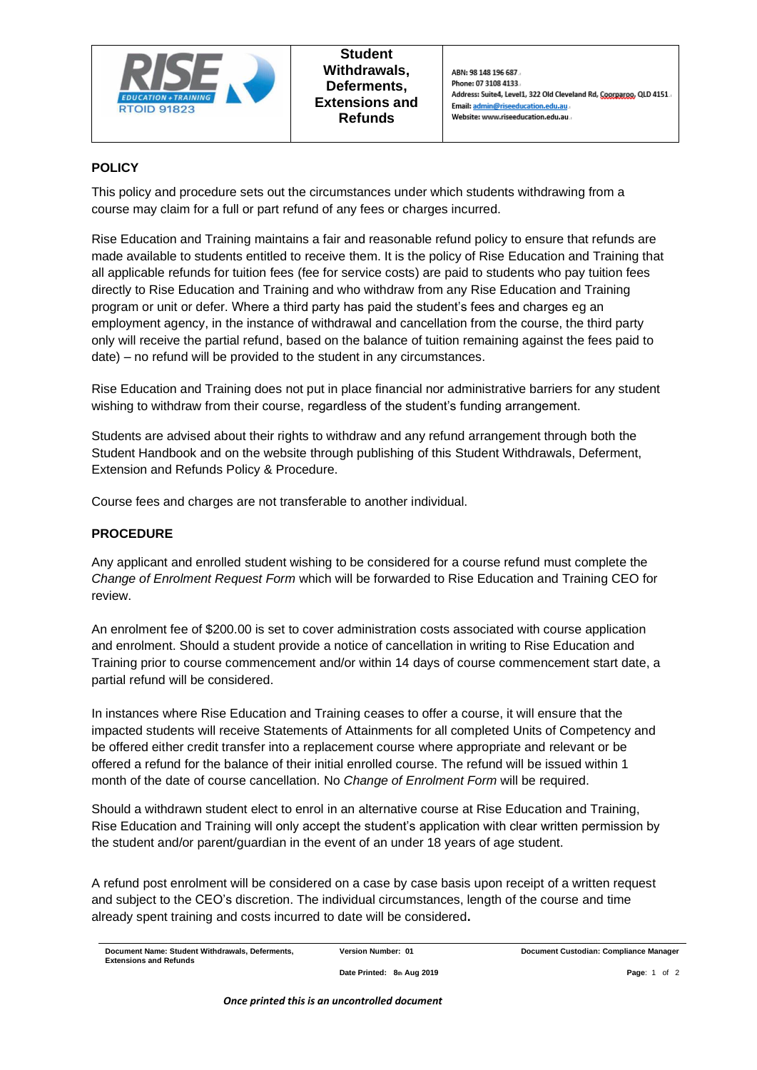

# **POLICY**

This policy and procedure sets out the circumstances under which students withdrawing from a course may claim for a full or part refund of any fees or charges incurred.

Rise Education and Training maintains a fair and reasonable refund policy to ensure that refunds are made available to students entitled to receive them. It is the policy of Rise Education and Training that all applicable refunds for tuition fees (fee for service costs) are paid to students who pay tuition fees directly to Rise Education and Training and who withdraw from any Rise Education and Training program or unit or defer. Where a third party has paid the student's fees and charges eg an employment agency, in the instance of withdrawal and cancellation from the course, the third party only will receive the partial refund, based on the balance of tuition remaining against the fees paid to date) – no refund will be provided to the student in any circumstances.

Rise Education and Training does not put in place financial nor administrative barriers for any student wishing to withdraw from their course, regardless of the student's funding arrangement.

Students are advised about their rights to withdraw and any refund arrangement through both the Student Handbook and on the website through publishing of this Student Withdrawals, Deferment, Extension and Refunds Policy & Procedure.

Course fees and charges are not transferable to another individual.

## **PROCEDURE**

Any applicant and enrolled student wishing to be considered for a course refund must complete the *Change of Enrolment Request Form* which will be forwarded to Rise Education and Training CEO for review.

An enrolment fee of \$200.00 is set to cover administration costs associated with course application and enrolment. Should a student provide a notice of cancellation in writing to Rise Education and Training prior to course commencement and/or within 14 days of course commencement start date, a partial refund will be considered.

In instances where Rise Education and Training ceases to offer a course, it will ensure that the impacted students will receive Statements of Attainments for all completed Units of Competency and be offered either credit transfer into a replacement course where appropriate and relevant or be offered a refund for the balance of their initial enrolled course. The refund will be issued within 1 month of the date of course cancellation. No *Change of Enrolment Form* will be required.

Should a withdrawn student elect to enrol in an alternative course at Rise Education and Training, Rise Education and Training will only accept the student's application with clear written permission by the student and/or parent/guardian in the event of an under 18 years of age student.

A refund post enrolment will be considered on a case by case basis upon receipt of a written request and subject to the CEO's discretion. The individual circumstances, length of the course and time already spent training and costs incurred to date will be considered**.**

**Document Name: Student Withdrawals, Deferments, Extensions and Refunds**